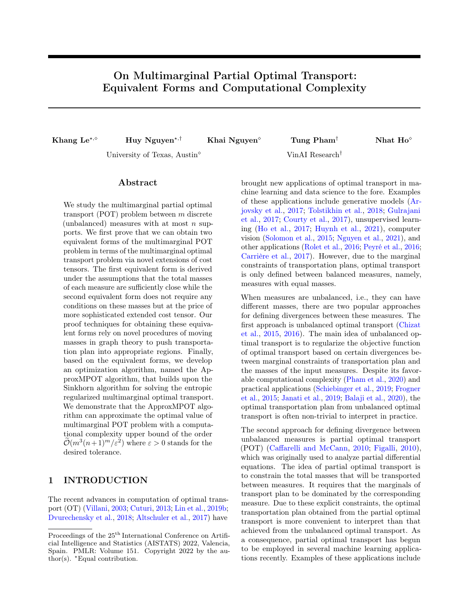# <span id="page-0-0"></span>On Multimarginal Partial Optimal Transport: Equivalent Forms and Computational Complexity

Khang Le<sup>\*, 6</sup> Huy Nguyen<sup>\*,†</sup> Khai Nguyen<sup>\*</sup> Tung Pham<sup>†</sup> Nhat Ho<sup>\*</sup>

University of Texas, Austin<sup> $\diamond$ </sup> VinAI Research<sup>†</sup>

# Abstract

We study the multimarginal partial optimal transport (POT) problem between  $m$  discrete (unbalanced) measures with at most  $n$  supports. We first prove that we can obtain two equivalent forms of the multimarginal POT problem in terms of the multimarginal optimal transport problem via novel extensions of cost tensors. The first equivalent form is derived under the assumptions that the total masses of each measure are sufficiently close while the second equivalent form does not require any conditions on these masses but at the price of more sophisticated extended cost tensor. Our proof techniques for obtaining these equivalent forms rely on novel procedures of moving masses in graph theory to push transportation plan into appropriate regions. Finally, based on the equivalent forms, we develop an optimization algorithm, named the ApproxMPOT algorithm, that builds upon the Sinkhorn algorithm for solving the entropic regularized multimarginal optimal transport. We demonstrate that the ApproxMPOT algorithm can approximate the optimal value of multimarginal POT problem with a computational complexity upper bound of the order  $\mathcal{O}(m^3(n+1)^m/\varepsilon^2)$  where  $\varepsilon > 0$  stands for the desired tolerance.

# 1 INTRODUCTION

The recent advances in computation of optimal transport (OT) [\(Villani,](#page-9-0) [2003;](#page-9-0) [Cuturi,](#page-8-0) [2013;](#page-8-0) [Lin et al.,](#page-8-1) [2019b;](#page-8-1) [Dvurechensky et al.,](#page-8-2) [2018;](#page-8-2) [Altschuler et al.,](#page-8-3) [2017\)](#page-8-3) have brought new applications of optimal transport in machine learning and data science to the fore. Examples of these applications include generative models [\(Ar](#page-8-4)[jovsky et al.,](#page-8-4) [2017;](#page-8-4) [Tolstikhin et al.,](#page-9-1) [2018;](#page-9-1) [Gulrajani](#page-8-5) [et al.,](#page-8-5) [2017;](#page-8-5) [Courty et al.,](#page-8-6) [2017\)](#page-8-6), unsupervised learning [\(Ho et al.,](#page-8-7) [2017;](#page-8-7) [Huynh et al.,](#page-8-8) [2021\)](#page-8-8), computer vision [\(Solomon et al.,](#page-9-2) [2015;](#page-9-2) [Nguyen et al.,](#page-9-3) [2021\)](#page-9-3), and other applications [\(Rolet et al.,](#page-9-4) [2016;](#page-9-4) [Peyré et al.,](#page-9-5) [2016;](#page-9-5) [Carrière et al.,](#page-8-9) [2017\)](#page-8-9). However, due to the marginal constraints of transportation plans, optimal transport is only defined between balanced measures, namely, measures with equal masses.

When measures are unbalanced, i.e., they can have different masses, there are two popular approaches for defining divergences between these measures. The first approach is unbalanced optimal transport [\(Chizat](#page-8-10) [et al.,](#page-8-10) [2015,](#page-8-10) [2016\)](#page-8-11). The main idea of unbalanced optimal transport is to regularize the objective function of optimal transport based on certain divergences between marginal constraints of transportation plan and the masses of the input measures. Despite its favorable computational complexity [\(Pham et al.,](#page-9-6) [2020\)](#page-9-6) and practical applications [\(Schiebinger et al.,](#page-9-7) [2019;](#page-9-7) [Frogner](#page-8-12) [et al.,](#page-8-12) [2015;](#page-8-12) [Janati et al.,](#page-8-13) [2019;](#page-8-13) [Balaji et al.,](#page-8-14) [2020\)](#page-8-14), the optimal transportation plan from unbalanced optimal transport is often non-trivial to interpret in practice.

The second approach for defining divergence between unbalanced measures is partial optimal transport (POT) [\(Caffarelli and McCann,](#page-8-15) [2010;](#page-8-15) [Figalli,](#page-8-16) [2010\)](#page-8-16), which was originally used to analyze partial differential equations. The idea of partial optimal transport is to constrain the total masses that will be transported between measures. It requires that the marginals of transport plan to be dominated by the corresponding measure. Due to these explicit constraints, the optimal transportation plan obtained from the partial optimal transport is more convenient to interpret than that achieved from the unbalanced optimal transport. As a consequence, partial optimal transport has begun to be employed in several machine learning applications recently. Examples of these applications include

Proceedings of the  $25^{\mathrm{th}}$  International Conference on Artificial Intelligence and Statistics (AISTATS) 2022, Valencia, Spain. PMLR: Volume 151. Copyright 2022 by the author(s).  $*$  Equal contribution.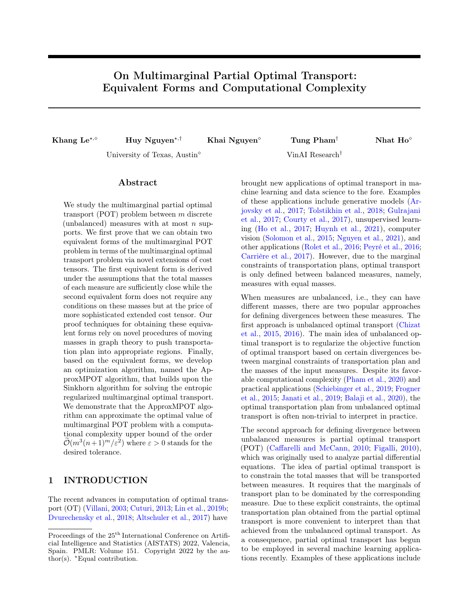<span id="page-1-1"></span>computer graphics [\(Bonneel and Coeurjolly,](#page-8-17) [2019\)](#page-8-17), graph neural networks [\(Sarlin et al.,](#page-9-8) [2020\)](#page-9-8), positiveunlabeled learning [\(Chapel et al.,](#page-8-18) [2020\)](#page-8-18), and partial covering [\(Kawano et al.,](#page-8-19) [2021\)](#page-8-19). To improve the scalability of partial optimal transport in these applications, the tree-sliced version of partial optimal transport has also been recently developed in [\(Le and Nguyen,](#page-8-20) [2021\)](#page-8-20).

In this paper, we put the focus on POT, in particular its natural extension to deal with multiple (more than two) measures, namely multimarginal partial optimal transport (MPOT) [\(Kitagawa and Pass,](#page-8-21) [2015\)](#page-8-21). Since MPOT has already been studied in previous works (e.g., [\(Kitagawa and Pass,](#page-8-21) [2015\)](#page-8-21)), our main goal here is to provide an efficient tool for solving it. Specifically, we are interested in the computational aspect of MPOT in the discrete setting. The current literature offers two possible tools to solve MPOT: linear programming algorithms and the iterative Bregman projection (IBP) [\(Benamou et al.,](#page-8-22) [2015\)](#page-8-22) . The former comes from the fact that MPOT problem is a linear program  $(LP)$  (see  $(2)$ ), thus it can be solved by any linear programming algorithm. However, the number of variables and constraints in this case grow exponentially in the number of measures (i.e.,  $n^m$  variables and  $n^m + nm + 1$  constraints for m measures, each having n supports). Thus, the interior point methods for LPs may suffer from worst-case complexity bound  $\mathcal{O}(n^{3m})$ , while efficient network simplex algorithms used in the two-marginal case is inapplicable (see [\(Lin et al.,](#page-9-9) [2020,](#page-9-9) Theorem 3.3) for the argument why the multimarginal formulation is not a minimum-cost flow problem when  $m \geq 3$ ). On the other hand, the IBP algorithm is difficult to analyze. Inspired by current development in the computational tools [\(Lin et al.,](#page-9-9) [2020\)](#page-9-9) for multimarginal optimal transport (MOT) [\(Gangbo and Swiech,](#page-8-23) [1998;](#page-8-23) [Pass,](#page-9-10) [2015\)](#page-9-10), we show that these advances can be used to provide efficient tools to solve MPOT, via novel equivalent forms between MOT and MPOT.

Contribution. In this paper, we provide two equivalent forms for MPOT in terms of MOT via novel extensions of cost tensors. The first equivalent form is a natural development of the result in bi-marginal case established in [\(Chapel et al.,](#page-8-18) [2020\)](#page-8-18), but it requires the masses of all measures to be close to each other, which can be quite restrictive in general settings. To account for this limitation, we introduce the second equivalent form, which is more involved but free of additional conditions on the masses. The novel proof techniques for both equivalent forms come from the design of the extended cost tensors and the process of moving masses such that the marginal constraints of the transportation plan are still satisfied. Most of the challenges in our proofs are in the second equivalent form in which we have to design a more sophisticated

mass-moving procedure in order to push the masses into  $m+1$  distant regions rather than neighbour regions in the first form. Finally, via these equivalent forms, we develop ApproxMPOT algorithm (which is built upon the Sinkhorn algorithm for solving the entropic regularized MOT [\(Lin et al.,](#page-8-24) [2019a\)](#page-8-24)) for approximating the solution of the MPOT problem. We prove that this algorithm has a complexity upper bound of the order  $\mathcal{O}(m^3(n+1)^m/\varepsilon^2)$  for approximating the optimal MPOT cost where  $\varepsilon > 0$  is the tolerance.

Organization. The paper is organized as follows. In Section [2,](#page-1-0) we provide background on optimal transport and multimarginal partial optimal transport. We then present two equivalent forms of multimarginal partial optimal transport in Section [3.](#page-2-1) Based on these equivalent forms, we develop ApproxMPOT algorithm for approximating the multimarginal POT and derive a complexity upper bound of that algorithm. We then present the experiments with the ApproxMPOT algorithm in Section [4](#page-6-0) and conclude the paper in Section [5.](#page-7-0) Finally, we defer the missing proofs to the Appendices.

**Notation.** We let  $[n]$  stand for the set  $\{1, 2, ..., n\}$ while  $\mathbb{R}^n_+$  stands for the set of all vectors in  $\mathbb{R}^n$  with nonnegative entries. For a vector  $\mathbf{x} \in \mathbb{R}^n$  and  $p \in [1, \infty)$ , we denote  $\|\mathbf{x}\|_p$  as its  $\ell_p$ -norm and diag(**x**) as the diagonal matrix with x on the diagonal. The natural logarithm of a vector  $\mathbf{a} = (a_1, ..., a_n) \in \mathbb{R}^n_+$  is denoted  $\log a = (\log a_1, ..., \log a_n)$ .  $\mathbf{1}_n$  stands for a vector of length *n* with all of its components equal to 1. Let  $\Sigma_N$ be the histogram of N bins  $\{ \mathbf{p} \in \mathbb{R}_+^N : \sum_{i=1}^N p_i = 1 \}$ and  $\delta$  is the Dirac function. Next, given the dimension n and accuracy  $\varepsilon$ , the notation  $a = \mathcal{O}(b(n, \varepsilon))$  means that  $a \leq C \cdot b(n, \varepsilon)$  where C is independent of n and  $\varepsilon$ . Similarly, the notation  $a = \mathcal{O}(b(n, \varepsilon))$  indicates the previous inequality may scale by a logarithmic function of n and  $\varepsilon$ . The entropy of a matrix **X** is given by  $H(\mathbf{X}) = \sum_{i,j=1}^{n} -X_{ij}(\log X_{ij} - 1)$ . In general, we use **X** for transportation matrix/tensor and  $X_{(i,j)}$  or  $X_u$  for u in  $[n+1]^m$  in the multimarginal case be its corresponding entries. We also define  $\mathbf{X}_S = \{X_u : u \in S\}$ , where S is a subset of  $[n+1]^m$ . Lastly, the cost matrix/tensor is denoted by  $C$ , where its entries are denoted by  $C_v$ for  $v \in [n]^m$ .

## <span id="page-1-0"></span>2 PRELIMINARY

In this section, we first provide background for optimal transport between two discrete probability measures in Section [2.1.](#page-2-2) Then, we present (multimarginal) partial optimal transport between discrete (unbalanced) measures in Sections [2.2](#page-2-3) and [2.3.](#page-2-4)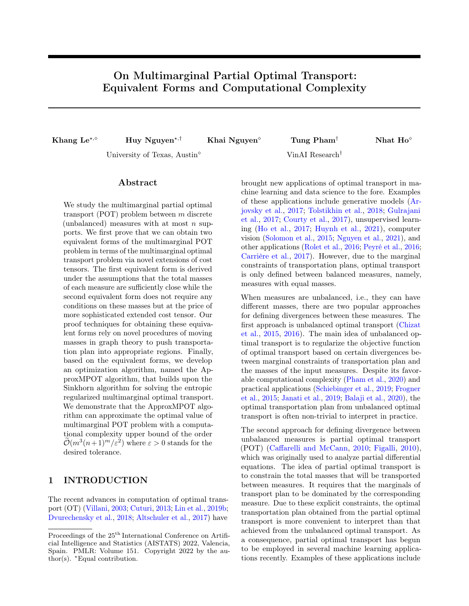#### <span id="page-2-7"></span><span id="page-2-2"></span>2.1 Optimal Transport

Assume that P and Q are discrete measures with at most  $n \geq 1$  supports such that  $P = \sum_{i=1}^{n} a_i \delta_{x_i}$  and  $Q = \sum_{j=1}^{n} b_j \delta_{y_j}$ . When P and Q have the same mass, i.e.,  $\|\mathbf{a}\|_1 = \|\mathbf{b}\|_1$ , the optimal transport (OT) distance between  $P$  and  $Q$  admits the following form:

$$
\mathbf{OT}(P,Q):=\min_{\mathbf{X}\in \Pi(\mathbf{a},\mathbf{b})}\langle \mathbf{C},\mathbf{X}\rangle,
$$

where C is a cost matrix whose entries are distances between the supports of these distributions,  $a :=$  $(a_1, \ldots, a_n)$ ,  $\mathbf{b} := (b_1, \ldots, b_n)$ , and the set of admissible couplings  $\Pi(a, b)$  is given by:

$$
\Pi(\mathbf{a},\mathbf{b}) := \{ \mathbf{X} \in \mathbb{R}_+^{n \times n} : \mathbf{X} \mathbf{1}_n = \mathbf{a}, \mathbf{X}^\top \mathbf{1}_n = \mathbf{b} \}. \tag{1}
$$

### <span id="page-2-3"></span>2.2 Partial Optimal Transport

As indicated in equation [\(1\)](#page-2-5), the OT formulation requires that  $P$  and  $Q$  have the same mass, i.e.,  $P$ and Q are balanced measures. To account for the settings when  $P$  and  $Q$  are unbalanced measures, namely,  $\|\mathbf{a}\|_1 \neq \|\mathbf{b}\|_1$ , we consider in this section an approach named Partial Optimal Transport (POT), which focuses on optimally transporting only a fraction  $0 \leq s \leq \min\{\|\mathbf{a}\|_1, \|\mathbf{b}\|_1\}$  of the mass. The set of all admissible couplings in that case is  $\Pi^s(\mathbf{a}, \mathbf{b}) := \{ \mathbf{X} \in \Pi^s(\mathbf{a}, \mathbf{b}) \}$  $\mathsf{R}_+^{n \times n}$ :  $\mathbf{X} \mathbf{1}_n \leq \mathbf{a}, \mathbf{X}^\top \mathbf{1}_n \leq \mathbf{b}, \mathbf{1}_n^\top \mathbf{X} \mathbf{1}_n = s$ , and the formulation of the POT distance can be written as

$$
\mathbf{POT}(P,Q) := \min_{\mathbf{X} \in \Pi^s(\mathbf{a},\mathbf{b})} \langle \mathbf{C}, \mathbf{X} \rangle.
$$

At the first sight, the POT problem seems to be more demanding with the appearance of two inequality constraints in  $\Pi^s(\mathbf{a}, \mathbf{b})$ . However, we can tackle these inequality constraints by adding dummy points  $x_{n+1}, y_{n+1}$  and extending the cost matrix as follows [\(Chapel et al.,](#page-8-18) [2020\)](#page-8-18):

$$
\bar{\mathbf{C}} = \begin{pmatrix} \mathbf{C} & \mathbf{0}_n \\ \mathbf{0}_n^\top & A \end{pmatrix},
$$

in which  $A > 0$ . We denote  $\bar{\mathbf{a}} = [\mathbf{a}, ||\mathbf{b}||_1 - s]$  and  $\bar{\mathbf{b}} =$  $[\mathbf{b}, \|\mathbf{a}\|_1 - s]$ . The following result from [\(Chapel et al.,](#page-8-18) [2020\)](#page-8-18) demonstrates that solving the POT problem between  $P$  and  $Q$  is equivalent to solving an OT problem between two measures with mass  $\|\mathbf{a}\|_1 + \|\mathbf{b}\|_1 - s$ .

<span id="page-2-6"></span>**Proposition 1** ([\(Chapel et al.,](#page-8-18) [2020\)](#page-8-18)). Under the assumption that  $A > 0$ , we have

$$
\min_{\mathbf{X} \in \Pi^s(\mathbf{a}, \mathbf{b})} \langle \mathbf{C}, \mathbf{X} \rangle = \min_{\bar{\mathbf{X}} \in \Pi(\bar{\mathbf{a}}, \bar{\mathbf{b}})} \langle \bar{\mathbf{C}}, \bar{\mathbf{X}} \rangle
$$

and the optimal solution  $X^*$  of the POT problem is exactly that of the OT problem, denoted by  $\bar{\mathbf{X}}^*$ , deprived from its last row and column.

The equivalent form in Proposition [1](#page-2-6) indicates that by using the Sinkhorn algorithm for solving the entropic version of  $\overline{O}T$  problem with cost matrix  $\bf{C}$  and the masses  $\bar{a}$ ,  $\bar{b}$ , the computational complexity of approximating the POT between two measures  $P$  and  $Q$  will be at the order of  $\mathcal{O}\left(\frac{(n+1)^2}{\epsilon^2}\right)$  $\frac{(+1)^2}{\varepsilon^2}$  where  $\varepsilon > 0$  stands for the desired tolerance.

### <span id="page-2-4"></span>2.3 Multimarginal Partial Optimal Transport

<span id="page-2-5"></span>We now consider an extension of the partial optimal transport to multimarginal partial optimal transport (MPOT) when we have more than two measures. Assume that we are given m measures  $P_1, \ldots, P_m$  with at most *n* supports that have weights  $\mathbf{r}_1, \ldots, \mathbf{r}_m$ , respectively. The transport cost tensor/matrix denoted by  $\mathbf{C} \in \mathbb{R}^{n^m}_+$  is also known in advance. Given a total mass of s that is needed to be transported, the multimarginal partial optimal transport wants to find a transport plan  $X^*$  such that the *i*-th marginals of  $X^*$  is a sub-measure of  $\mathbf{r}_i$  for all  $i \in [m]$  and the total transport cost is minimized. In formula,  $X^*$  is an optimal solution of the following problem:

<span id="page-2-0"></span>
$$
\mathbf{MPOT}(P_1, \dots, P_m) := \min_{X \in \Pi^s(\mathbf{r}_1, \dots, \mathbf{r}_m)} \langle \mathbf{C}, \mathbf{X} \rangle, \quad (2)
$$

where  $\Pi^s(\mathbf{r}_1,\ldots,\mathbf{r}_m)$  is defined as:

$$
\Pi^s(\mathbf{r}_1,\ldots,\mathbf{r}_m) := \left\{ \mathbf{X} \in \mathbb{R}_+^{n^m} : c_k(\mathbf{X}) \le \mathbf{r}_k, \forall k \in [m]; \right\}
$$

$$
\sum_{v \in [n]^m} X_v = s \right\}, \qquad (3)
$$

with  $[c_k(\mathbf{X})]_j = \sum_{i_\ell \in [n], \ell \neq k} X_{i_1,...,i_{k-1},j,i_{k+1},...,i_m}$ .

# <span id="page-2-1"></span>3 EQUIVALENT FORMS OF MULTIMARGINAL PARTIAL OPTIMAL TRANSPORT

In this section, we first present the challenges of extending the POT-OT equivalence in Proposition [1](#page-2-6) to the multimarginal case. Then, we provide two approaches to link the multimarginal POT problem with its multimarginal OT (MOT) counterpart by cost tensor expansions. Subsequently, we will look into an algorithm to approximate the solution of multimarginal POT problem, which is inspired by two equivalent forms.

Our proofs for the equivalent forms of multimarginal POT mostly play with "layers" of the (cost or plan) tensors, which is defined as follow: for a subset S of  $\{1, 2, \ldots, m\}$ , we denote by  $T_S$  the subset of tensor indices

$$
T_S := \{(i_1, \dots, i_m) \in [n+1]^m : i_\ell = n+1 \Leftrightarrow \ell \in S\}.
$$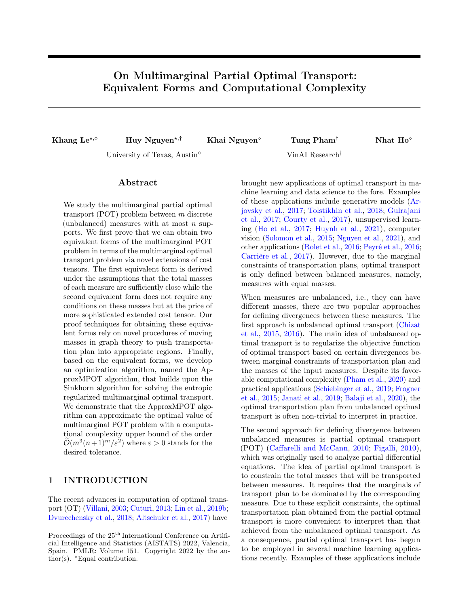<span id="page-3-3"></span>For example, when  $n = 2$  and  $m = 3$  and  $S = \{1, 2\}$ , then  $T_S = \{(3, 3, 1), (3, 3, 2)\}.$  For all subsets S of the same cardinality k, the union of  $T_S$  (i.e.,  $\cup_{|S|=k}T_S$ ) forms a layer of order  $k$  (namely the  $k$ -th layer), and if  $|S| = k$  then  $T_S$  is considered as a sublayer of this union. Thus, there are  $m + 1$  layers in the *m*-dimensional hypercube.

## 3.1 The Three-Marginal Partial Optimal Transport

To begin with, we will investigate the simplest case of multimarginal POT, i.e., when  $m = 3$ . We will examine the structure of this problem under this simple case, and show the reason why we have two approaches for deriving equivalent forms for the general case.

In Figure [2,](#page-5-0) the red square (or cube) denotes the cost matrix (or tensor) C, corresponding to the case  $m = 2$ (or  $m = 3$ ). When  $m = 2$ , by adding dummy points, the red square is extended by adding two green segments and a blue point corresponding to  $C_{(n+1,n+1)}$ . [\(Chapel](#page-8-18) [et al.,](#page-8-18) [2020\)](#page-8-18) then show that the supports (i.e., positive entries) of the optimal transport plan lie on the red and green regions, with the total mass of the red region being equal to s, by solving two linear equations of the marginals. Given the uniform cost on the green parts, the OT problem reduces to minimizing its objective function in the red square. Thus, solving the bi-marginal POT is equivalent to solve a OT problem. For  $m = 3$ , there are two ways to extend the cost tensor to form two different systems of equations in order to prove that the total mass of the red part is equal to s.

The first approach is to build a cost tensor such that the supports of the transport plan lie only on the red and green regions in Figure [2,](#page-5-0) and the second approach is to build a cost tensor such that the supports lie only on the red and blue regions. In the language of "layers", in the case  $m = 3$ , the green part and the blue part can be explicitly defined as  $\{v \in T_S : S \subset \{1,2,3\}, |S|=1\}$ and  $\{v \in T_S : S \subset \{1, 2, 3\}, |S| = 2\}$ , respectively.

The key idea of the equivalent forms is how to design mass-moving procedures inside the hyper-cube that keep the marginal constraints and decrease the objective function. After applying the procedure until we could not carry on further, the mass concentrates on the certain parts of the transport plan so that we can derive a system of linear equations to show that the total mass in the red region equals to s. Together with either the mass or the cost of the same layer of order  $1, 2, \ldots, m$  must be zero, it deduces the equivalence between the multimarginal POT and the multimarginal OT problems. Because the moving-mass procedure transports mass between neighbouring layers/regions, the closer between non-zero parts of the transport plan are, the easier to design plan to push mass into those parts is. From this point, we could see that the first extension is the more natural extension of the bi-marginal case, when the non-zero parts (red and green) of the optimal transport plan are close to each other under the Hamming distance. That leads to a simple design of the cost tensor. The second extension requires novel technique to deal with, since the red (non-zero) parts of the optimal transport plan are far from the blue parts. That requires a more sophisticated mass moving procedure as well as the more complicated structure of the weights in the cost tensor.

#### 3.2 The First Equivalent Form

Inspired by the extension technique in the bi-marginal case, we introduce the first equivalent form for the multimarginal POT problem. However, this equivalence comes at a cost of introducing additional conditions on the marginals that read

<span id="page-3-1"></span>
$$
\Sigma_r := \sum_{i=1}^m \|\mathbf{r}_i\|_1 \ge (m-1)\|\mathbf{r}_k\|_1 + s, \ \forall k \in [m]. \tag{4}
$$

These conditions are necessary for the extended marginals to be non-negative (see Theorem [1\)](#page-3-0). Note that these system of inequalities always hold for  $m = 2$ , and still hold for  $m \geq 3$  in several cases, for example, the total masses of each measure are the same (i.e.,  $\|\mathbf{r}_i\|_1 = \|\mathbf{r}_i\|_1$  for all  $i, j \in [m]$ ). We now state the first equivalent form under the conditions [\(4\)](#page-3-1).

<span id="page-3-0"></span>Theorem 1. Assume that the conditions [\(4\)](#page-3-1) are met. Let

$$
\bar{\mathbf{r}}_k^{(1)} = \left[ \mathbf{r}_k, \frac{1}{m-1} \Sigma_r - ||\mathbf{r}_k||_1 - \frac{1}{m-1} s \right]
$$

be extended marginals and  $\bar{\mathbf{C}}^{(1)} = \left[\bar{C}^{(1)}_v : v \in [n+1]^m \right]$  , where

$$
\bar{C}_v^{(1)} := \begin{cases} C_v & v \in T_? \\ A_i & v \in T_S, |S| = i \quad \forall i \in [m] \end{cases}
$$

be an extended cost tensor in which  $0 = A_1 < A_2 <$  $\ldots < A_m$ . Then, we find that

$$
\min_{\mathbf{X}\in\Pi^s(\mathbf{r}_1,\ldots,\mathbf{r}_m)}\langle\mathbf{C},\mathbf{X}\rangle = \min_{\bar{\mathbf{X}}\in\Pi(\bar{\mathbf{r}}_1^{(1)},\ldots,\bar{\mathbf{r}}_m^{(1)})}\langle\bar{\mathbf{C}}^{(1)},\bar{\mathbf{X}}\rangle. \tag{5}
$$

Moreover, assume that  $\bar{\mathbf{X}}^*$  is a minimizer of the multimarginal OT problem, then  $\mathbf{X}^*:=\mathbf{\bar{X}}^*_{[n]^m}$  is an optimal solution of the multimarginal POT problem.

<span id="page-3-2"></span>Example 1. To illustrate the result of Theorem [1,](#page-3-0) we assume that  $m = 3$ , i.e., 3-marginal setting, and  $||r_1||_1 = ||r_2||_1 = ||r_3||_1 = 1$ . Under this setting, the condition [\(4\)](#page-3-1) is satisfied. For simplicity, we set  $n = 2$ , meaning each marginal has two support points. Based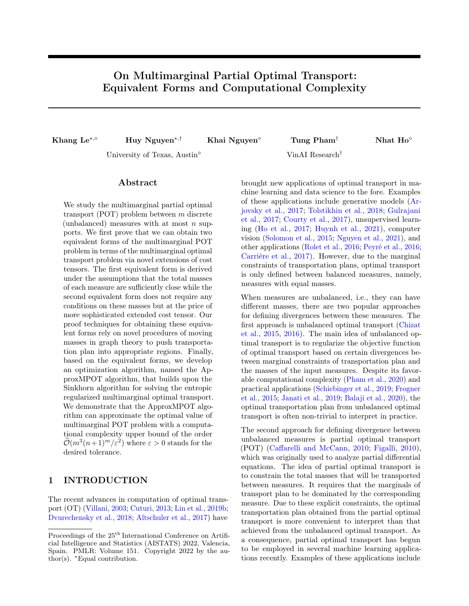<span id="page-4-2"></span>on Theorem [1,](#page-3-0) the extended cost tensor  $\bar{C}^{(1)}$  takes the following form:  $\bar{C}^{(1)}_{u_1} = 0, \bar{C}^{(1)}_{u_2} = 1, \bar{C}^{(1)}_{u_3} = 2$ , in which

$$
u_1 \in U_1 := \left\{ (3, 1, 1), (3, 1, 2), (3, 2, 1), (3, 2, 2), (1, 3, 1), (1, 3, 2), (2, 3, 1), (2, 3, 2), (1, 1, 3), (1, 2, 3), (2, 1, 3), (2, 2, 3) \right\};
$$
  

$$
u_2 \in U_2 := \left\{ (1, 3, 3), (2, 3, 3), (3, 1, 3), (3, 2, 3), (3, 3, 1), (3, 3, 2) \right\};
$$
  

$$
u_3 \in U_3 := \left\{ (3, 3, 3) \right\}.
$$

Remark [1](#page-3-0). Theorem 1 requires a simple condition that the sequence  $(A_i)$  needs to be monotone increasing. In comparison with [\(Chapel et al.,](#page-8-18) [2020\)](#page-8-18), they use the sequence  $(0, A)$  for the bi-marginal case. That resemblance partly explains why the first equivalence is the more natural extension of the bi-marginal case. The condition [\(4\)](#page-3-1) could be met in some situations, i.e., the values of  $\|\mathbf{r}_i\|_1$  are the same. However, in general, it is quite restrictive, since the condition requires that the magnitude of those positive measures are close to each other.

In order to prove the results of both Theorems [1](#page-3-0) and [2,](#page-5-1) we need Lemma [1](#page-4-0) which plays a key role in our proofs. More specifically, this lemma shows multiple ways to transport mass inside the multimarginal plan  $X$  such that the marginal constraints of  $X$  still hold. Since Lemma [1](#page-4-0) works on the hypercube  $\mathcal{C}_k = \{0,1\}^k$ , we start with some notations and definitions of the hypercube.

**Definition 1** (Hyper-cube and its graph). Let  $\mathcal{C}_k =$  $\{0,1\}^k = \{(i_1, \ldots, i_k) : i_\ell \in \{0,1\}\}$  be the hyper-cube of dimension k. The graph on hyper-cube  $\mathcal{C}_k$  is defined as follow: for  $u = (u_1, \ldots, u_k), v = (v_1, \ldots, v_k) \in C_k$ , u and v are connected if and only if there exists only one index j such that  $1 \leq j \leq k$  and  $u_j \neq v_j$ . In the language of distance, the Hamming distance between  $u$ and  $v$  is equal to  $1$ .

Definition 2 (Hyper-rectangle and its graph). Let  $m \geq k$  be two positive integers. Assume that  $u =$  $(u_1, \ldots, u_m), v = (v_1, \ldots, v_m) \in \mathbb{Z}^m$  and  $|\{u_i \neq v_i, 1 \leq$  $|i \leq m\}| = k$ . The hyper-rectangle which has u and v as two opposite vertices is defined as follow:

$$
\mathcal{P}(u, v) = \{(w_1, \dots, w_m) : w_i \in \{u_i, v_i\} \; \forall i \in [m]\}.
$$

Similarly, the graph on the hyper-rectangle is defined as follows :  $w = (w_1, \ldots, w_m)$  and  $\widetilde{w} = (\widetilde{w}_1, \ldots, \widetilde{w}_m)$ are connected if and only if there exists only one index  $\ell$  such that  $w_{\ell} \neq \widetilde{w}_{\ell}$ .

In graph theory, the graph of hyper-rectangle is the same as the graph of the hyper-cube. Hence, the bellow

<span id="page-4-1"></span>

Figure 1: Visualization of mass-moving procedures in Lemma [1](#page-4-0) for  $k = 3$ . Blue-filled circles represent vertices 0 and red-filled circles represent vertices 1, while the unfilled circles depict the neighbors of the color-corresponding filled nodes. The number, that is next to the node, i.e.,  $\epsilon$ , is the mass that node gains or loses in the mass-moving procedure.

lemma for the hyper-cube could be applied to the hyperrectangle as well.

<span id="page-4-0"></span>Lemma 1 (Preservative Mass Transportation on **Hypercube).** Let  $\mathcal{C}_k = \{0,1\}^k$  be a hyper-cube in the k-dimensional space. For each vertex  $v$  of the cube  $\mathcal{C}_k$ , we assign a mass number  $M_v$ . Assume that  $0 < \epsilon <$  $\min\{M_{\textbf{0}_k}, M_{\textbf{1}_k}\}$ , then each of the following operations will keep the quantity

$$
\sum_{one\ face\ of\ \mathcal C_k} M_v
$$

unchanged for any faces of the cube.

 $v \in$ 

(a) We move  $\frac{\epsilon}{2}$  mass from vertex  $u = \mathbf{0}_k$  to its neighbours  $\widetilde{u}$  and we move  $\frac{\epsilon}{2}$  mass from vertex  $v = \mathbf{1}_k$  to its notable we see that the odge  $(u, \widetilde{u})$  is notable to the neighbour  $\tilde{v}$  such that the edge  $(u, \tilde{u})$  is parallel to the edge  $(v, \tilde{v})$ .

(b) We move  $\frac{\epsilon}{k}$  mass from vertices  $\mathbf{0}_k$  and  $\mathbf{1}_k$  to each of their neighbours ( $\epsilon$  mass in total).

(c) We take away  $\epsilon$  and  $\frac{\epsilon}{k-1}$  mass from  $\mathbf{1}_k$  and  $\mathbf{0}_k$ , respectively. We add  $\frac{\epsilon}{k-1}$  to all k neighbours of  $\mathbf{1}_k$ .

An illustration of Lemma [1](#page-4-0) is in Figure [1,](#page-4-1) and the proof is deferred to Appendix [C.1.](#page-15-0)

Proof Sketch of Theorem [1.](#page-3-0) The full proof of Theorem [1](#page-3-0) can be found in Appendix [A.](#page-10-0) A key step in the proofs of equivalent forms is to show that  $\sum_{v \in T_7} \overline{X}^*_v = s$ , i.e., the total mass at the portion of  $\bar{\mathbf{X}}^*$  corresponding to the original cost tensor (the zeroth layer) is the total mass we want to transport in the original partial problem. To see this, we start by showing that there is some mass in the zeroth layer, i.e., there exists  $u \in T_7$  such that  $\bar{X}_u^* > 0$ . Next, we prove by contradiction that the mass of  $\overline{\mathbf{X}}^*$  only lies at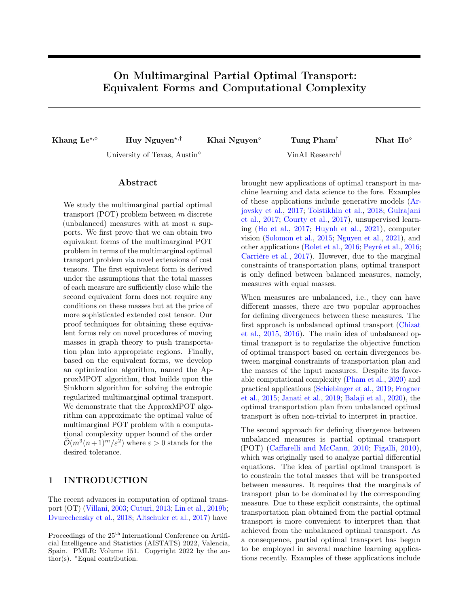<span id="page-5-0"></span>

Figure 2: An illustration for mass-moving procedures in the proof of the first equivalent form in two cases  $m = 2$  and  $m = 3$ , where the red part corresponds to the original supports of the cost plan and others are the extended,  $+\frac{\epsilon}{2}$  means adding  $\frac{\epsilon}{2}$  mass to that node, and  $-\frac{\epsilon}{2}$  means take away  $\frac{\epsilon}{2}$  mass from that node.

the zeroth layer and the first layer (which correspond to the red region and the green region in Figure [2,](#page-5-0) respectively), i.e.,  $\bar{X}_{v}^{*} = 0$  if  $v \notin T_{?} \cup (\cup_{j=1}^{m} T_{\{j\}})$ . If it is not the case, then we can construct a preservative mass-moving procedure (see Lemma [1](#page-4-0) and Figure [2\)](#page-5-0) involving the zeroth layer (in particular, the location  $u \in T_7$  with positive mass), and the cost design will invalidate the optimality of  $\bar{\mathbf{X}}^*$ . After that, the aforementioned key statement can be attained using some algebraic transformations on marginal constraints. Consequently, we get

$$
\begin{aligned} \min_{\bar{\mathbf{X}} \in \Pi(\bar{\mathbf{r}}_1, \ldots, \bar{\mathbf{r}}_m)} \langle \bar{\mathbf{C}}^{(1)}, \bar{\mathbf{X}} \rangle &= \langle \bar{\mathbf{C}}, \bar{\mathbf{X}}^* \rangle \\ &\geq \min_{\mathbf{X} \in \Pi^s(\mathbf{r}_1, \ldots, \mathbf{r}_m)} \langle \mathbf{C}, \mathbf{X} \rangle, \end{aligned}
$$

and we prove that the equality by showing the inverse inequality, which is done via some construction of  $X^*$ based on  $\mathbf{X}^*$ .  $\Box$ 

### 3.3 The Second Equivalent Form

The first equivalent form requires the total masses  $\|\mathbf{r}_i\|_1$  where  $1 \leq i \leq m$  to satisfy the condition [\(4\)](#page-3-1), which can be undesirable under general settings of unbalanced measures. To circumvent this limitation of the first equivalence, we propose another equivalent form to the multimarginal POT problem, where the extended cost tensor is more sophisticated and less sparse than that of the first equivalent form. However, no additional conditions are needed for the second equivalence, except the conditions  $s \leq ||\mathbf{r}_i||_1$  for all  $j \in [m]$ , which are apparently essential in the original formulation of multimarginal POT.

<span id="page-5-2"></span>

Figure 3: An illustration for mass-moving procedures in the proof of the second equivalent form when  $m = 3$ .

<span id="page-5-1"></span>**Theorem 2.** Let  $\{D_i\}_{i=0}^m$  be a sequence satisfying  $D_0 = \|\mathbf{C}\|_{\infty}, D_{m-1} = 0, D_m > 0$ . Furthermore, suppose that  $(D_0, D_1, D_2)$  is a concave sequence when  $m = 3$ , while for  $m \geq 4$ , we assume

$$
\Delta_i^{(2)} \le (m-1-i)\Delta_{i+1}^{(2)} \le 0, \quad \forall i \in [m-3],
$$

where  $\Delta_i^{(2)} := D_{i+1} + D_{i-1} - 2D_i$ . Let  $\bar{\mathbf{r}}_k^{(2)} = \left[\mathbf{r}_k, \sum \right]$  $i{\neq}k$  $\|\mathbf{r}_i\|_1 - (m-1)s\right]$ 

be extended marginals and  $\bar{\mathbf{C}}^{(2)} = \left[\bar{C}_v^{(2)}: v \in [n+1]^m \right]$  , where

$$
\bar{C}_v^{(2)} = \begin{cases} C_v & v \in T_7 \\ D_i & v \in T_S, |S| = i \quad \forall i \in [m] \end{cases}
$$

be an extended cost tensor. Then,

$$
\min_{\mathbf{X}\in\Pi^s(\mathbf{r}_1,\ldots,\mathbf{r}_m)}\langle\mathbf{C},\mathbf{X}\rangle = \min_{\bar{\mathbf{X}}\in\Pi(\bar{\mathbf{r}}_1^{(2)},\ldots,\bar{\mathbf{r}}_m^{(2)})}\langle\bar{\mathbf{C}}^{(2)},\bar{\mathbf{X}}\rangle. \tag{6}
$$

Similar to Theorem [1,](#page-3-0) assume that  $\bar{\mathbf{X}}^*$  is a minimizer of the multimarginal OT problem, then  $\mathbf{X}^*:=\mathbf{\bar{X}}_{[n]^{m}}^{*}$  is an optimal solution of the multimarginal POT problem.

Proof Sketch of Theorem [2.](#page-5-1) For the full proof, the readers can refer to Appendix [B.](#page-12-0) Note that each layer can be decomposed into corresponding sublayers (e.g., the first layer  $|S| = 1$  consists of three sublayers  $T_{\{1\}}, T_{\{2\}}, T_{\{3\}}$  corresponding to the green region in Figure [3\)](#page-5-2). The first step is to show that the supports of the optimal transportation plan (called optimal supports) must lie in a sequence of nested sublayers when their orders are in  $[m-2]$ ; if not, use a mass-moving procedure (depicted on Figure [3,](#page-5-2) left) built on nodes in two sublayers of the same layer to lower the objective function. This is due to the concavity of the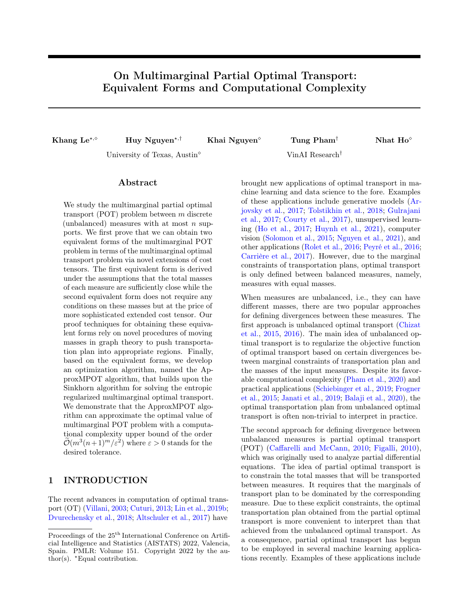<span id="page-6-4"></span>constructed cost sequence  $\{D_i\}_{i=1}^{m-2}$  (see Theorem [2\)](#page-5-1). The next step is to show that the optimal supports must not lie in the layers of order  $1, 2, \ldots, m-2$ , which relies on the procedure between one of the layers of order  $1, \ldots, m-2$  and the layer of order  $m-1$  (see Figure [3,](#page-5-2) right), and also due to the noted concavity and  $D_{m-1} = 0$ . Thus, the optimal supports must lie in the original layer (i.e., the red  $T<sub>2</sub>$ ) and the two last (blue and yellow) layers. Finally, simple derivations show that the total optimal mass on the original layer is s, and subsequent reasoning is similar to the last step in the proof of Theorem [1.](#page-3-0)  $\Box$ 

Remark [2](#page-5-1). Theorem 2 requires some conditions on the second order of difference of the sequence  $(D_i)$  that trade o for having no conditions on the  $r_i$ . Given the sequence  $(\Delta_i^{(2)})$  and let  $\Delta_i^{(1)} := D_{i+1} - D_i$ , we could build up the sequence  $(D_i)$  as follows:

$$
D_i = \Delta_{i-1}^{(1)} + \ldots + \Delta_0^{(1)} + D_0
$$
  
=  $\Delta_{i-1}^{(2)} + 2\Delta_{i-2}^{(2)} + \ldots + (i-1)\Delta_1^{(2)} + i\Delta_0^{(1)} + D_0.$ 

When all the chosen  $\Delta_j^{(2)}$  satisfying the conditions  $\Delta_j^{(2)} \le (m-1-j)\Delta_{j+1}^{(2)} \le 0$  (e.g.,  $\Delta_j^{(2)} = -(m-1-i)!$ ), we choose  $\Delta_0^{(1)} = -\frac{\sum_{i=1}^{m-2} (m-1-i)\Delta_i^{(2)} + D_0}{m-1}$ , which leads to the fact that  $D_{m-1} = 0$ . Then, the sequence  $(D_i)$ satisfies all the required conditions. Since the sequence  $(D_i)$  is concave, its minimum will be at the end terms of the sequence, which are  $D_{m-1}$  and  $D_0$ . This means that other  $D_i$  cannot be negative.

Example 2. Similar to Example [1,](#page-3-2) we illustrate the construction of the extended cost tensor in Theorem [2](#page-5-1) under the 3-marginal setting, i.e.,  $m = 3$ , and  $||r_1||_1 =$  $||r_2||_1 = ||r_3||_1 = 1$ . For simplicity, we set  $n = 2$ , meaning that each marginal has two support points. Based on Theorem [2,](#page-5-1) the extended cost tensor  $\bar{C}^{(2)}$ takes the following form

$$
\bar{C}_u^{(2)} = \begin{cases} D_1, & u \in U_1 \\ 0, & u \in U_2 \\ D_3, & u \in U_3 \end{cases}
$$

where we choose  $D_1 > D_0 = \max_{u \in [n]^m} C_u$  and  $D_3 > 0$ while  $U_1, U_2, U_3$  are defined as in Example [1.](#page-3-2) Here, the sequence  $D_0, D_1, D_2$  is already concave.

## 3.4 Algorithmic Developments

In this section, we briefly derive algorithmic procedure to approximate the multimarginal partial optimal transport problem based on the previous equivalences, as well as the computational complexity of the approximating algorithms. Algorithm [1](#page-6-1) is the approximating algorithm based on the Sinkhorn procedure (namely <span id="page-6-1"></span>Algorithm 1 ApproxMPOT

 $\textbf{Parameters:}\ \textbf{C}, \{\textbf{r}_i\}_{i=1}^m, s, \eta, \varepsilon$ Extend the cost tensor **C** into **C** and  $\{r_i\}_{i=1}^m$  into  $\{\bar{\mathbf{r}}_i\}_{i=1}^m$  $\{\bar{\mathbf{r}}_i\}_{i=1}^m$  $\{\bar{\mathbf{r}}_i\}_{i=1}^m$  according to Theorem 1 or Theorem [2](#page-5-1) Compute  $\bar{\mathbf{X}}^k$  = SinkhornMOT( $\bar{\mathbf{C}}$ ,  $\eta$ ,  $\{\bar{\mathbf{r}}_i\}_{i=1}^m$ ,  $\varepsilon$ ), where  $k$  is the number of Sinkhorn iterations Let  $\mathbf{X}^k = \bar{\mathbf{X}}^k[1:n,\ldots,1:n]$ return  $X^k$ 

SinkhornMOT) to solve entropic-regularized multimarginal OT given in [\(Lin et al.,](#page-8-24) [2019a,](#page-8-24) Algorithm 3). Interestingly, the computational complexity of the multimarginal POT can also be derived from that of multimarginal OT. Before stating that complexity result, we first define the notion of  $\varepsilon$ -approximated multimarginal partial transportation plan.

<span id="page-6-2"></span>**Definition 3** (ε-approximation). The tensor  $\widehat{\mathbf{X}} \in \mathbb{R}^{n^m}_+$ is called an ε-approximated multimarginal partial transportation plan if  $c_k(\mathbf{X}) \leq r_k$  for any  $k \in [m]$  and the following inequality holds true,

$$
\langle \mathbf{C}, \widehat{\mathbf{X}} \rangle \leq \langle \mathbf{C}, \mathbf{X}^{\star} \rangle + \varepsilon,
$$

where  $X^*$  is defined as an optimal solution of the multimarginal POT problem [\(2\)](#page-2-0).

Given Definition [3,](#page-6-2) we have the following proposition about the computational complexity of ApproxMPOT algorithm for approximating the multimarginal POT problem.

<span id="page-6-3"></span>**Proposition 2.** Algorithm [1](#page-6-1) returns an  $\varepsilon$ approximated multimarginal partial transportation plan  $X^k$  within  $\mathcal{O}\left(\frac{m^3(n+1)^m\|\bar{\mathbf{C}}\|_\infty^2\log(n+1)}{\varepsilon^2}\right)$  arithmetic operations where  $\bar{C}$  is a given cost tensor in either Theorem [1](#page-3-0) or Theorem [2.](#page-5-1)

The proof of Proposition [2](#page-6-3) is in Appendix [C.2.](#page-16-0)

## <span id="page-6-0"></span>4 EMPIRICAL STUDY

A Simple Illustration of Robustness. In this experiment, we empirically verify that MPOT is more robust to outliers compared to MOT, in the sense the optimal MPOT cost is less sensitive in the appearance of noisy marginal support. We consider three empirical measures of 10 supports sampled from  $\mathcal{N}((0,0), I_2)$ ,  $\mathcal{N}((1,1), I_2)$ , and  $\mathcal{N}((-1,1), I_2)$ respectively, and gradually inject  $n_0 \in \{1, 2, 3, 4, 5\}$ noisy support points drawn from faraway Gaussians  $\mathcal{N}((0,5), I_2), \mathcal{N}((5,5), I_2), \text{ and } \mathcal{N}((-5,5), I_2), \text{ response-}$ tively. The weights on the total  $10 + n_0$  support points are set uniformly. The corresponding MOT and MPOT costs (with squared Euclidean ground metric) are reported in Figure [4,](#page-7-1) which highlights the expected behavior.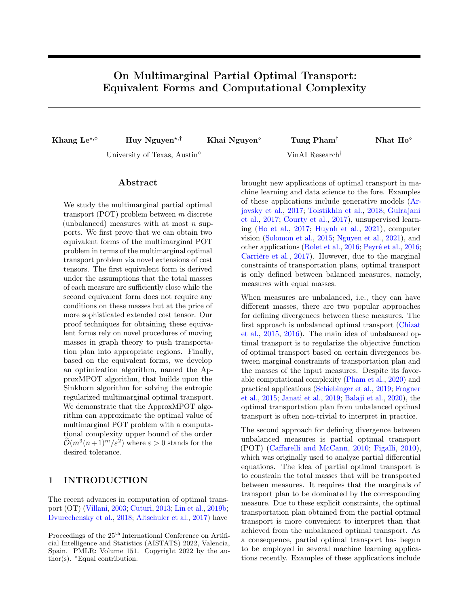<span id="page-7-4"></span><span id="page-7-1"></span>

Figure 4: Robustness of the transportation cost of MPOT compared to MOT when injecting noise into three marginals. Left: MPOT and MOT in comparison. Right: MPOT with different prespecified mass  $s \in \mathbb{R}$  $\{0.6, 0.7, 0.8, 0.9\}.$ 

Partial Barycenter. It is known that the multimarginal partial optimal transport is equivalent to the partial barycenter problem [\(Kitagawa and Pass,](#page-8-21) [2015,](#page-8-21) Proposition 1.1). In this experiment, we investigate the robust behavior of MPOT by using it to compute the (partial) barycenter of three corrupted Gaussian measures. Specifically, we present each Gaussian measure by a histogram over 100 support points, where the masses on these points come from a mixture of two Gaussian distribution with weights 0.9 and 0.1 (the former corresponds to the true underlying distribution, while the latter is the noise - this simulates Huber's 0.1-contamination model). The detail can be found in the Figure [5,](#page-7-2) in which we plot three barycenters: one corresponding to the standard optimal transport, one to the partial optimal transport, and one coming from solving a MPOT problem [\(Benamou et al.,](#page-8-22) [2015,](#page-8-22) Section 5.3). These barycenters are computed using convex solvers [\(Agrawal et al.,](#page-8-25) [2018\)](#page-8-25) on the corresponding entropic-regularized formulations with  $\eta = 1$  for smoother visualization. It is apparent that the histograms from the partial barycenter problem and from MPOT resemble each other, and are not affected by outliers (while the OT-based histogram is).

Empirical Convergence of ApproxMPOT. Next, we take a look into the convergence of our approximating algorithm for different regularization values. Specifically, we set  $m = 3, n = 10, s = 0.8$  and run the algorithm for  $\eta \in \{0.01, 0.1, 1\}$  then plot the objective values over iterations. The optimal value of unregularized problem is computed by a convex solver [\(Agrawal et al.,](#page-8-25) [2018\)](#page-8-25). As we can see from the plot in Figure [6,](#page-7-3) small  $\eta$  converges slower, but large  $\eta$  may result in an inaccurate approximation.

## <span id="page-7-0"></span>5 CONCLUSION

In this paper, we study the multimarginal partial optimal transport problem between  $m \geq 2$  (unbalanced)

<span id="page-7-2"></span>

Figure 5: Robustness of multimarginal partial optimal transport. Left: three corrupted Gaussian histograms of  $0.9 \cdot \mathcal{N}(50, 25) + 0.1 \cdot \mathcal{N}(5, 4)$  (blue),  $0.9 \cdot \mathcal{N}(45) + 0.1 \cdot$  $\mathcal{N}(90, 4)$  (orange),  $0.9 \cdot \mathcal{N}(55, 9) + 0.1 \cdot \mathcal{N}(10, 9)$  (green). Right: the standard OT barycenter (red), the partial OT barycenter (green), and the barycenter computed by MPOT (blue). The partial algorithms are run with total masses of 0.8.

<span id="page-7-3"></span>

Figure 6: Convergence of ApproxMPOT. The red line is the optimal value of the unregularized problem, while three other lines correspond to different runs of the algorithm for solving the regularized problems with different values of  $\eta$ .

discrete measures with at most n supports. We first establish two equivalent forms of the multimarginal POT problem in terms of the multimarginal OT problem via novel extensions of the cost tensors. Our proof techniques are based on sophisticated procedures of designing extended cost tensors and of moving masses such that the transportation plan will put its mass into appropriate regions. Based on these equivalent forms, we then develop an optimization algorithm, named ApproxMPOT algorithm, for approximating the multimarginal POT with a computational complexity upper bound of the order  $\tilde{\mathcal{O}}(m^3(n+1)^m/\varepsilon^2)$  where  $\varepsilon > 0$  is the tolerance.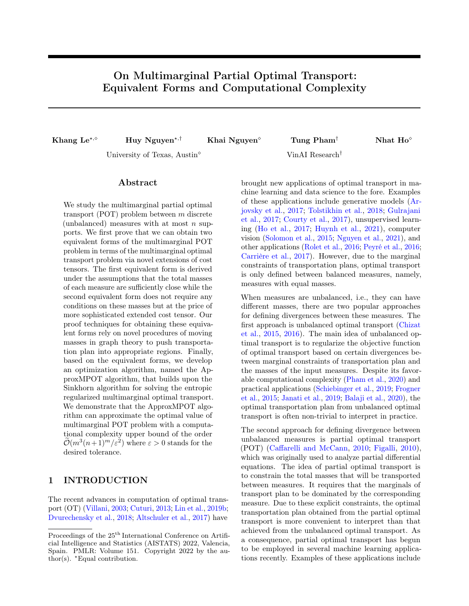#### References

- <span id="page-8-25"></span>A. Agrawal, R. Verschueren, S. Diamond, and S. Boyd. A rewriting system for convex optimization problems. Journal of Control and Decision, 5(1):42–60, 2018. (Cited on page [8.](#page-7-4))
- <span id="page-8-3"></span>J. Altschuler, J. Weed, and P. Rigollet. Near-linear time approximation algorithms for optimal transport via Sinkhorn iteration. In Advances in neural information processing systems, pages 1964–1974, 2017. (Cited on page [1.](#page-0-0))
- <span id="page-8-4"></span>M. Arjovsky, S. Chintala, and L. Bottou. Wasserstein generative adversarial networks. In International conference on machine learning, pages 214–223, 2017. (Cited on page [1.](#page-0-0))
- <span id="page-8-14"></span>Y. Balaji, R. Chellappa, and S. Feizi. Robust optimal transport with applications in generative modeling and domain adaptation. In NeurIPS, 2020. (Cited on page [1.](#page-0-0))
- <span id="page-8-22"></span>J.-D. Benamou, G. Carlier, M. Cuturi, L. Nenna, and G. Peyré. Iterative Bregman projections for regularized transportation problems. SIAM Journal on Scientific Computing, 37(2):A1111–A1138, 2015. (Cited on pages [2](#page-1-1) and [8.](#page-7-4))
- <span id="page-8-17"></span>N. Bonneel and D. Coeurjolly. SPOT: Sliced partial optimal transport. ACM Transactions on Graphics (TOG), 38(4):1–13, 2019. (Cited on page [2.](#page-1-1))
- <span id="page-8-15"></span>L. Caffarelli and R. J. McCann. Free boundaries in optimal transport and Monge-Ampère obstacle problems. Annals of Mathematics, pages 673–730, 2010. (Cited on page [1.](#page-0-0))
- <span id="page-8-9"></span>M. Carrière, M. Cuturi, and S. Oudot. Sliced Wasserstein kernel for persistence diagrams. In International conference on machine learning, pages 1–10, 2017. (Cited on page [1.](#page-0-0))
- <span id="page-8-18"></span>L. Chapel, M. Z. Alaya, and G. Gasso. Partial optimal transport with applications on positive-unlabeled learning. In Advances in Neural Information Processing Systems, volume 33, pages 2903–2913. Curran Associates, Inc., 2020. (Cited on pages [2,](#page-1-1) [3,](#page-2-7) [4,](#page-3-3) and [5.](#page-4-2))
- <span id="page-8-10"></span>L. Chizat, G. Peyré, B. Schmitzer, and F.-X. Vialard. Unbalanced optimal transport: Dynamic and Kantorovich formulation. Arxiv preprint Arxiv: 1508.05216, 2015. (Cited on page [1.](#page-0-0))
- <span id="page-8-11"></span>L. Chizat, G. Peyré, B. Schmitzer, and F. Vialard. Scaling algorithms for unbalanced transport problems. ArXiv Preprint: 1607.05816, 2016. (Cited on page [1.](#page-0-0))
- <span id="page-8-6"></span>N. Courty, R. Flamary, D. Tuia, and A. Rakotomamonjy. Optimal transport for domain adaptation. IEEE Transactions on Pattern Analysis and Machine Intelligence, 39(9):1853–1865, 2017. (Cited on page [1.](#page-0-0))
- <span id="page-8-0"></span>M. Cuturi. Sinkhorn distances: Lightspeed computation of optimal transport. In Advances in Neural

Information Processing Systems, pages 2292–2300, 2013. (Cited on page [1.](#page-0-0))

- <span id="page-8-2"></span>P. Dvurechensky, A. Gasnikov, and A. Kroshnin. Computational optimal transport: Complexity by accelerated gradient descent is better than by Sinkhorn's algorithm. In International conference on machine learning, pages 1367–1376, 2018. (Cited on page [1.](#page-0-0))
- <span id="page-8-16"></span>A. Figalli. The optimal partial transport problem. Archive for Rational Mechanics and Analysis, page 533–560, 2010. (Cited on page [1.](#page-0-0))
- <span id="page-8-12"></span>C. Frogner, C. Zhang, H. Mobahi, M. Araya, and T. A. Poggio. Learning with a Wasserstein loss. In Advances in Neural Information Processing Systems, pages 2053–2061, 2015. (Cited on page [1.](#page-0-0))
- <span id="page-8-23"></span>W. Gangbo and A. Swiech. Optimal maps for the multidimensional Monge-Kantorovich problem. Communications on Pure and Applied Mathematics, 51(1): 23–45, 1998. (Cited on page [2.](#page-1-1))
- <span id="page-8-5"></span>I. Gulrajani, F. Ahmed, M. Arjovsky, V. Dumoulin, and A. C. Courville. Improved training of Wasserstein GANs. In Advances in Neural Information Processing Systems, pages 5767–5777, 2017. (Cited on page [1.](#page-0-0))
- <span id="page-8-7"></span>N. Ho, X. Nguyen, M. Yurochkin, H. Bui, V. Huynh, and D. Phung. Multilevel clustering via Wasserstein means. In *ICML*, 2017. (Cited on page [1.](#page-0-0))
- <span id="page-8-8"></span>V. Huynh, N. Ho, N. Dam, L. Nguyen, M. Yurochkin, H. Bui, and D. Phung. On efficient multilevel clustering via Wasserstein distances. Journal of Machine Learning Research, pages 1–43, 2021. (Cited on page [1.](#page-0-0))
- <span id="page-8-13"></span>H. Janati, M. Cuturi, and A. Gramfort. Wasserstein regularization for sparse multi-task regression. In AISTATS, 2019. (Cited on page [1.](#page-0-0))
- <span id="page-8-19"></span>K. Kawano, S. Koide, and K. Otaki. Partial Wasserstein covering. Arxiv preprint Arxiv: 2106.00886, 2021. (Cited on page [2.](#page-1-1))
- <span id="page-8-21"></span>J. Kitagawa and B. Pass. The multi-marginal optimal partial transport problem. Forum of Mathematics, Sigma, [2](#page-1-1)015. (Cited on pages 2 and [8.](#page-7-4))
- <span id="page-8-20"></span>T. Le and T. Nguyen. Entropy partial transport with tree metrics: Theory and practice. In AISTATS, 2021. (Cited on page [2.](#page-1-1))
- <span id="page-8-24"></span>T. Lin, N. Ho, M. Cuturi, and M. I. Jordan. On the complexity of approximating multimarginal optimal transport. arXiv preprint arXiv:1910.00152, 2019a. (Cited on pages [2,](#page-1-1) [7,](#page-6-4) and [17.](#page-16-1))
- <span id="page-8-1"></span>T. Lin, N. Ho, and M. I. Jordan. On efficient optimal transport: An analysis of greedy and accelerated mirror descent algorithms. ICML, 2019b. (Cited on page [1.](#page-0-0))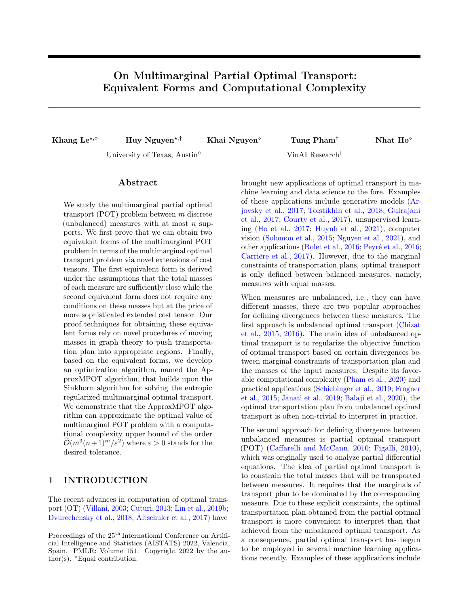- <span id="page-9-9"></span>T. Lin, C. Fan, N. Ho, M. Cuturi, and M. I. Jordan. Projection robust Wasserstein distance and Riemannian optimization. arXiv preprint arXiv:2006.07458, 2020. (Cited on page [2.](#page-1-1))
- <span id="page-9-3"></span>T. Nguyen, Q.-H. Pham, T. Le, T. Pham, N. Ho, and B.-S. Hua. Point-set distances for learning representations of 3D point clouds. In ICCV, 2021. (Cited on page [1.](#page-0-0))
- <span id="page-9-10"></span>B. Pass. Multi-marginal optimal transport: Theory and applications. ESAIM: Mathematical Modelling and Numerical Analysis, 49(6):1771–1790, 2015. (Cited on page [2.](#page-1-1))
- <span id="page-9-5"></span>G. Peyré, M. Cuturi, and J. Solomon. Gromov-Wasserstein averaging of kernel and distance matrices. In ICML, pages 2664–2672, 2016. (Cited on page [1.](#page-0-0))
- <span id="page-9-6"></span>K. Pham, K. Le, N. Ho, T. Pham, and H. Bui. On unbalanced optimal transport: An analysis of sinkhorn algorithm. In ICML, 2020. (Cited on page [1.](#page-0-0))
- <span id="page-9-4"></span>A. Rolet, M. Cuturi, and G. Peyré. Fast dictionary learning with a smoothed Wasserstein loss. In AIS-TATS, pages 630–638, 2016. (Cited on page [1.](#page-0-0))
- <span id="page-9-8"></span>P.-E. Sarlin, D. DeTone, T. Malisiewicz, and A. Rabinovich. SuperGlue: Learning feature matching with graph neural networks. In CVPR, 2020. (Cited on page [2.](#page-1-1))
- <span id="page-9-7"></span>G. Schiebinger et al. Optimal-transport analysis of single-cell gene expression identifies developmental trajectories in reprogramming. Cell, 176:928–943, 2019. (Cited on page [1.](#page-0-0))
- <span id="page-9-2"></span>J. Solomon, F. Goes, G. Peyré, M. Cuturi, A. Butscher, A. Nguyen, T. Du, and L. Guibas. Convolutional Wasserstein distances: Efficient optimal transportation on geometric domains. In SIGGRAPH, 2015. (Cited on page [1.](#page-0-0))
- <span id="page-9-1"></span>I. Tolstikhin, O. Bousquet, S. Gelly, and B. Schölkopf. Wasserstein auto-encoders. In International Conference on Learning Representations (ICLR 2018), 2018. (Cited on page [1.](#page-0-0))
- <span id="page-9-0"></span>C. Villani. Topics in Optimal Transportation. American Mathematical Society, 2003. (Cited on page [1.](#page-0-0))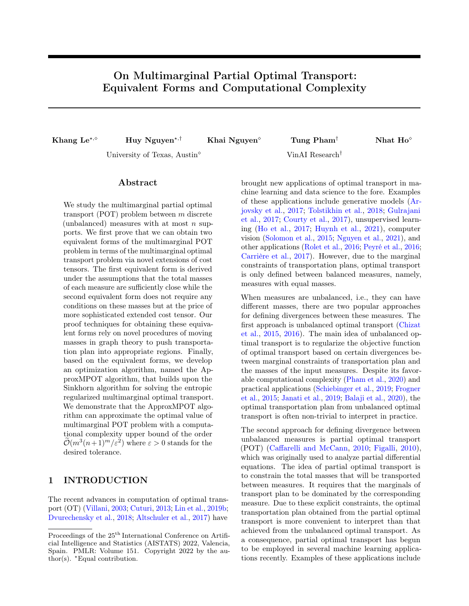# Supplementary Material: On Multimarginal Partial Optimal Transport: Equivalent Forms and Computational Complexity

In this supplementary material, we firstly provide the proof of Theorem [1](#page-3-0) in Appendix [A](#page-10-0) while the proof of Theorem [2](#page-5-1) is subsequently presented in Appendix [B.](#page-12-0) Finally, Appendix [C](#page-15-1) is devoted to show proofs for Lemma [1](#page-4-0) and Proposition [2.](#page-6-3)

## <span id="page-10-0"></span>A PROOF OF THEOREM [1](#page-3-0)

To prove  $A = B$ , we prove that  $A \geq B$  and  $B \geq A$ , where A and B are the transportation cost of the multimarginal POT and multimarginal OT, respectively. Denote by  $\bar{\mathbf{X}}^*$  the solution of the multimarginal OT problem  $\min_{\bar{\mathbf{X}} \in \Pi(\bar{\mathbf{r}}_1^{(1)},\dots,\bar{\mathbf{r}}_m^{(1)})} \langle \bar{\mathbf{C}}^{(1)}, \bar{\mathbf{X}} \rangle$  $\min_{\bar{\mathbf{X}} \in \Pi(\bar{\mathbf{r}}_1^{(1)},\dots,\bar{\mathbf{r}}_m^{(1)})} \langle \bar{\mathbf{C}}^{(1)}, \bar{\mathbf{X}} \rangle$  $\min_{\bar{\mathbf{X}} \in \Pi(\bar{\mathbf{r}}_1^{(1)},\dots,\bar{\mathbf{r}}_m^{(1)})} \langle \bar{\mathbf{C}}^{(1)}, \bar{\mathbf{X}} \rangle$ . We divide the proof of Theorem 1 into four key steps. 1

**Step 1:** We first prove that  $\sum$  $v \in T$ ?  $\bar{X}_{v}^{*} \geq s$ . Let  $T_{\langle \ell \rangle} := \{v \in [n+1]^{m} : v_{\ell} = n+1\}$ . For each extended marginal

 $\bar{\mathbf{r}}_{\ell}^{(1)}$  $\ell^{(1)}$ , considering its last element, we get

$$
\sum_{v\in T_{\langle \ell\rangle}} \bar{X}^*_v = \frac{1}{m-1}\Sigma_{\mathbf{r}} - \|\mathbf{r}_\ell\|_1 - \frac{1}{m-1}s.
$$

Summing over all  $\ell \in [m]$  leads to

$$
\sum_{\ell=1}^{m} \sum_{v \in T_{(\ell)}} \bar{X}_v^* = \frac{m}{m-1} \Sigma_{\mathbf{r}} - \Sigma_{\mathbf{r}} - \frac{m}{m-1} s = \frac{1}{m-1} (\Sigma_{\mathbf{r}} - ms).
$$

Since  $\sum_{v \in \bigcup_{\ell=1}^m T_{\langle \ell \rangle}} \bar{X}_v^* \leq \sum_{\ell=1}^m \sum_{v \in T_{\langle \ell \rangle}} \bar{X}_v^*$ , it follows that

$$
\sum_{v \in \bigcup_{\ell=1}^m T_{\langle \ell \rangle}} \bar{X}_v^* \le \frac{1}{m-1} (\Sigma_{\mathbf{r}} - ms).
$$

Moreover, we have  $[n]^m = [n+1]^m \setminus (\cup_{j=1}^m T_{\langle j \rangle})$ . It means that

$$
\sum_{v \in [n]^m} \bar{X}_v^* = \sum_{v \in [n+1]^m} \bar{X}_v^* - \sum_{v \in \cup_{j=1}^m T_{\langle j \rangle}} \bar{X}_v^*
$$
  

$$
\geq \frac{1}{m-1} (\Sigma_{\mathbf{r}} - s) - \frac{1}{m-1} (\Sigma_{\mathbf{r}} - ms)
$$
  
= s.

Hence, there exists  $u \in [n]^m$  such that  $\bar{X}_u^* > 0$ .

**Step 2:** We prove that if  $\bar{X}_v^* > 0$  then  $v \in T_? \cup (\bigcup_{j=1}^m T_{\{j\}})$ . Assume the contrary, which means that there exists  $v = (v_1, \ldots, v_m)$  in some  $T_S$  with  $|S| = j > 1$  such that  $\overline{X}_v^* > 0$ . WLOG, we assume that  $v_1 = v_2 = n + 1$ . We build an hyper-rectangle where

$$
u = (u_1, u_2, u_3, \ldots, u_m) \in T_?,
$$
  

$$
v = (n + 1, n + 1, v_3, \ldots, v_m),
$$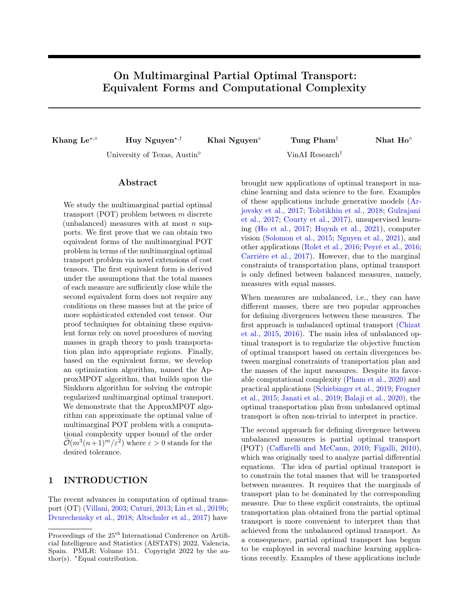correspond to  $\mathbf{0}_k$  and  $\mathbf{1}_k$ , respectively. Let  $\epsilon = \min\left\{\bar{X}_u^*, \bar{X}_v^*\right\}$  and apply the procedure in Lemma [1\(](#page-4-0)a) with neighbors

$$
\tilde{u} = (n+1, u_2, u_3, \ldots, u_m),
$$
  
\n $\tilde{v} = (u_1, n+1, v_3, \ldots, v_m).$ 

Then the total cost is changed by

$$
-\frac{\epsilon}{2}(C_u^{(1)} - A_1 + A_j - A_{j-1}),
$$

which is negative (since  $C_u^{(1)} \geq 0, A_1 = 0, A_j \geq A_{j-1}$ ), contradictory to the optimality of  $\bar{\mathbf{X}}^*$ .

**Step 3:** We prove that  $\sum$  $v \in T$ ?  $\bar{X}_{v}^{*} = s$ . For each extended marginal  $\bar{\mathbf{r}}_{\ell}^{(1)}$  $\binom{1}{\ell}$ , considering its first m-th elements, we get

$$
\sum_{v \in [n+1]^m \setminus T_{\langle \ell \rangle}} \bar{X}^*_v = \|\mathbf{r}_{\ell}\|_1.
$$

Moreover, the result in Step 2 indicates that  $\bar{X}^*_v = 0$  for all  $v \notin T_? \cup (\cup_{j=1}^m T_{\{j\}})$ . Thus,

$$
\sum_{v\in T_?}\bar{X}^*_v+\sum_{v\in T_{\{j\}}, j\neq \ell}\bar{X}^*_v=\|\mathbf{r}_{\ell}\|_1.
$$

Summing over all  $\ell \in [m]$  leads to

$$
m\sum_{v\in T_7}\,\bar X^*_v+(m-1)\sum_{j=1}^m\sum_{v\in T_{\{j\}}}\,\bar X^*_v=\Sigma_{\mathbf r}.
$$

Note that in Step 1 we have obtained

$$
\sum_{\ell=1}^m \sum_{v \in T_{\{\ell\}}} \bar{X}^*_v = \frac{1}{m-1} (\Sigma_{\mathbf{r}} - ms).
$$

From the above equations, we deduce that  $\sum_{v \in T_7} \bar{X}_v^* = s$ .

Step 4: We prove the claimed statement. Let  $\bar{\mathbf{X}}_{[n]^m}^*$  is the sub-tensor of  $\bar{\mathbf{X}}^*$  corresponding to the first m components in each dimension. By construction,  $c_k(\dot{\bar{\mathbf{X}}}_{[n]^m}^*) \leq \mathbf{r}_k$  and from Step 3,  $\sum_{v \in [n]^m} (\bar{\mathbf{X}}_{[n]^m}^*)_v = s$ . Since for any  $v \notin [n]^m$ , either the corresponding cost  $C_v^{(1)}$  is zero (note that  $A_1 = 0$ ) or the corresponding optimal mass  $\bar{X}_{v}^{*}$  is zero (see Step 2), we obtain

$$
\langle \bar{\mathbf{C}}^{(1)}, \bar{\mathbf{X}}^* \rangle = \langle \mathbf{C}, \bar{\mathbf{X}}^*_{[n]^m} \rangle.
$$

This means that

$$
\min_{\bar{\mathbf{X}} \in \Pi(\bar{\mathbf{r}}_1,\ldots,\bar{\mathbf{r}}_m)} \langle \bar{\mathbf{C}}^{(1)}, \bar{\mathbf{X}} \rangle = \langle \mathbf{C}, \bar{\mathbf{X}}^*_{[n]^m} \rangle \ge \min_{\mathbf{X} \in \Pi^s(\mathbf{r}_1,\ldots,\mathbf{r}_m)} \langle \mathbf{C}, \mathbf{X} \rangle.
$$

The next step is to prove the inverse inequality in order to deduce the equality. Let

$$
\mathbf{X}^* = \underset{\mathbf{X} \in \Pi^s(\mathbf{r}_1,\ldots,\mathbf{r}_m)}{\arg \min} \langle \mathbf{C}, \mathbf{X} \rangle,
$$

we are going to expand  $\mathbf{X}^*$  to become the optimal plan  $\widetilde{\mathbf{X}}^*$  of the MOT problem, where  $\widetilde{X}^*_v = X^*_v$  for all  $v \in T_?$ . We also know from Step 2 that  $\tilde{X}_v^* = 0$  for all  $v \notin \bigcup_{j=1}^m T_{\{j\}}$ . The problem thus boils down to define  $\tilde{X}_v^*$  for all  $v \in \bigcup_{j=1}^m T_{\{j\}}$  satisfying the marginal constraints.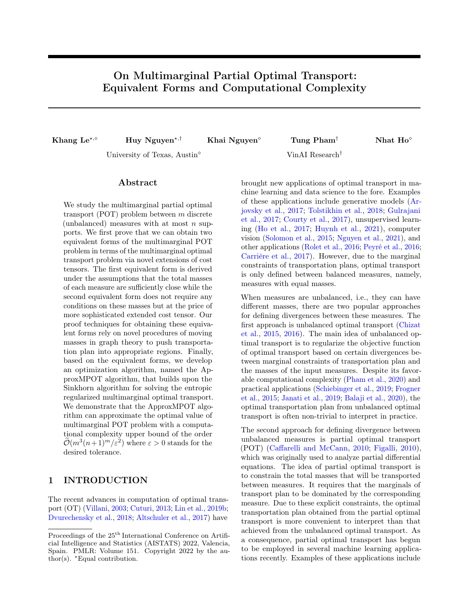Note that if we view each element of the set  $\{X_v^*: v \in T_{\{k\}}\}$  as a tensor of  $[n]^{m-1}$ , then it has  $m-1$  marginals which are denoted by  $S_k^{\ell}$  for  $\ell \in [m]$  and  $\ell \neq k$ . In formula, we have

$$
S_k^{\ell} = (S_{k,1}^{\ell}, \ldots, S_{k,n}^{\ell});
$$
  
\n
$$
S_{k,i}^{\ell} = \sum_{v:v \in T_{\{k\}}, v_{\ell}=i} \widetilde{X}_v^*, \quad i \in [n].
$$

The  $\ell$ -th marginal constraint of  $\tilde{\mathbf{X}}^*$  is written as

$$
(\bar{\mathbf{r}}_{\ell})_{n+1} = \sum_{v \in T_{\{\ell\}}} \widetilde{X}_v^* = ||S_{\ell}^k||_1, \quad k \neq \ell,
$$
  

$$
c_{\ell}(\widetilde{\mathbf{X}}^*) = \left(c_{\ell}(\mathbf{X}^*) + \sum_{k \in [m] \backslash \ell} S_k^{\ell}, (\bar{\mathbf{r}}_{\ell})_{n+1}\right).
$$

Because the  $T_{\{k\}}$  are disjoint, we first choose  $S_k^{\ell}$  satisfying the above equations, and then choose  $\{\tilde{X}_v^*: v \in T_{\{k\}}\}$ satisfying the marginals  $S_k^{\ell}$ . By simple calculation, we have

$$
||S_k^{\ell}||_1 = (\mathbf{r}_k)_{n+1} = \frac{1}{m-1} \Sigma_r - ||\mathbf{r}_k||_1 - \frac{1}{m-1} s;
$$

$$
\sum_{\ell=1, \ell \neq k}^m ||S_k^{\ell}||_1 = ||\mathbf{r}_{\ell} - c_{\ell}(\mathbf{X}^*)||_1.
$$

A trivial construction for  $S_k^{\ell}$  is

$$
S_k^{\ell} = \left[ \mathbf{r}_{\ell} - c_{\ell}(\mathbf{X}^*) \right] \frac{\|S_k^{\ell}\|_1}{\|\mathbf{r}_{\ell} - c_{\ell}(\mathbf{X}^*)\|_1},
$$

when  $\|\mathbf{r}_{\ell} - c_{\ell}(\mathbf{X}^*)\|_1 > 0$ ; and  $S_k^{\ell} = \mathbf{0}$ , when  $\|\mathbf{r}_{\ell} - c_{\ell}(\mathbf{X}^*)\|_1 = 0$ . Given  $S_k^{\ell}$ , we arbitrarily choose  $\tilde{X}_v^*$  for all  $v \in T_{\{\ell\}}$  satisfying their marginals equal  $S_k^{\ell}$ , i.e.,

$$
\widetilde{X}^*_v = (\mathbf{r}_k)_{n+1} \prod_{\ell \in [m] \backslash k} \frac{S^{\ell}_{k, v_{\ell}}}{\|S^{\ell}_{k}\|_1}
$$

for  $v = (v_1, \ldots, v_m)$  and  $v_k = n + 1$ , and  $(\mathbf{r}_k)_{n+1} > 0$ ; otherwise  $\widetilde{X}_v = 0$ , when  $(\mathbf{r}_k)_{n+1} = 0$ .

Putting these steps together, we reach the conclusion of the theorem.

# <span id="page-12-0"></span>B PROOF OF THEOREM [2](#page-5-1)

First, we introduce some notations that will be used repeatedly in the proof:

$$
W_S = \sum_{u \in T_S} \bar{X}_u^* \quad \forall S \subset [m];
$$
  

$$
[-i] = [m] \setminus \{i\} \quad \forall i \in [m].
$$

**Step 1:** We prove that for  $S, S' \subset [m]$  and  $1 \leq |S|, |S'| \leq m-2$ , if both  $W_S$  and  $W_{S'}$  are positive then  $S \subset S'$ or  $S' \subset S$ .

It is equivalent to show that if  $W_S, W_{S'} > 0$  then  $k := |S \setminus S'| = 0$  or  $\ell := |S' \setminus S| = 0$ . Assume the contrary that k,  $\ell$  are both positive. Thus, there exist  $u \in T_S$  and  $v \in T_{S'}$  such that  $\bar{X}_u, \bar{X}_v > 0$  and using permutation, WLOG we can assume that  $u$  and  $v$  have the following block forms

$$
u = (u_A, u_B, u_C, u_D), v = (v_A, v_B, v_C, v_D),
$$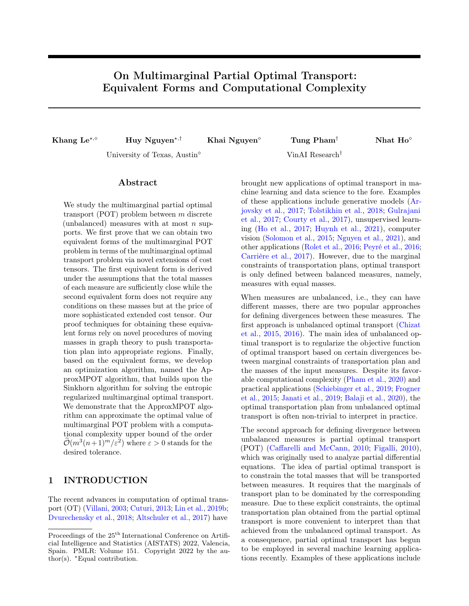where

$$
u_A = \underbrace{u_1, \dots, u_i}_{u_j \neq v_j},
$$
  
\n
$$
u_B = (n+1, \dots, n+1),
$$
  
\n
$$
u_C = \underbrace{u_{i+k+1}, \dots, u_{i+k+\ell}}_{\neq n+1},
$$
  
\n
$$
u_D = u_{i+k+\ell+1} \dots, u_m,
$$
  
\n
$$
v_B = \underbrace{v_{i+1}, \dots, v_{i+k}}_{\neq n+1},
$$
  
\n
$$
v_C = (n+1, \dots, n+1),
$$
  
\n
$$
v_D = (\underbrace{v_{i+k+\ell+1}, \dots, v_m}_{u_j = v_j}).
$$

Consider u as 0 and v as 1 in the cube  $\{0,1\}^{i+k+\ell}$ . Since  $k, \ell > 0$ , both Block B and Block C are non-empty. For some  $b \in [i+1, i+k]$ , we set  $\tilde{u}^B$  to be neighbour of u such that  $\tilde{u}_b^B = v_b$  and  $\tilde{v}^B$  to be neighbour of v such that  $\tilde{v}_b^B = u_b = n + 1$ . For some  $c \in [i + k + 1, i + k + \ell]$ , we construct  $\tilde{u}^C$  and  $\tilde{v}^C$  similarly. As a result, edges  $(u, \tilde{u}^B)$  and  $(u, \tilde{u}^C)$  are parallel to edges  $(v, \tilde{v}^B)$  and  $(v, \tilde{v}^C)$ , respectively. Applying the mass-moving procedure in Lemma [1\(](#page-4-0)a) twice, the total cost is changed by

$$
\frac{\epsilon}{2} \Big[ D_{k+j-1} + D_{k+j+1} - 2D_{k+j} \Big] + \frac{\epsilon}{2} \Big[ D_{\ell+j-1} + D_{\ell+j+1} - 2D_{\ell+j} \Big].
$$

which is negative due to the concavity of the sequence  ${D_j}_{j=1}^{m-1}$ . Here the condition  $|S|, |S'| \leq m-2$  guarantees that  $k + j + 1, \ell + j + 1 \leq m - 1$ . Thus the total cost decreases, contradicted to the optimality of  $\bar{\mathbf{X}}^*$ . Hence,  $k = 0$  or  $\ell = 0$ , leading to  $S' \subset S'$  or  $S \subset S'$ . Define

$$
\mathcal{T} = \{ S : S \in [m], W_S > 0 \},
$$
  

$$
\mathcal{T}^- = \mathcal{T} \setminus \{ [-1], [-2], \dots, [-m], [m] \}.
$$

Note that if  $S \in \mathcal{T}^-$ , then  $|S| \leq m-2$ . Due to the inclusion property for any two elements of  $\mathcal{T}^-$ , all elements of  $\mathcal{T}^-$  could be ordered as a sequence, where the inclusion defines the order in  $\mathcal{T}^-$ . Hence, without loss of generality, we could assume that

$$
\mathcal{T} \subset \{?, [1], [2], \ldots, [m-2], [-1], [-2], \ldots, [-m], [m] \}.
$$

**Step 2:** We prove that  $W_{[m]} = 0$ .

This is equivalent to prove that  $\bar{X}^*_v = 0$ , where  $v = (n+1, \ldots, n+1)$ . Assume the contrary that  $\bar{X}^*_v > 0$ . Assume that there exists  $u \in T_S$  for  $S \in \{7, [1], \ldots, [m-2]\}$  such that  $\bar{X}_u^* > 0$ .

Applying Lemma [1\(](#page-4-0)c) with u as 0 and v as 1. If  $u \in T_7$ , then the total cost is changed by

$$
-\frac{\epsilon}{m-1}C_u - \epsilon \cdot D_m + \frac{\epsilon \cdot m}{m-1}D_{m-1},
$$

which is negative due to  $C_u \geq 0$  and  $D_m > 0$  and  $D_{m-1} = 0$ , contradicted to the optimality of  $\bar{\mathbf{X}}^*$ .

If  $u \in T_{[i]}$  for  $1 \leq i \leq m-2$ , then the total cost is changed by

$$
-\frac{\epsilon}{m-i-1}D_i-\epsilon\cdot D_m+\epsilon\frac{m-i}{m-i-1}D_{m-1}.
$$

which is negative due to  $D_i > 0$ ,  $D_m > 0$  and  $D_{m-1} = 0$ , contradicted to the optimality of  $\bar{\mathbf{X}}^*$ .

Hence, either  $W_{[m]} = 0$  or  $W_S = 0$  for all  $S \in \{?, [1], \ldots, [m-2]\}$ . For the second case, from the equations for the marginals of  $\overrightarrow{\mathbf{X}}^*$ , we have

$$
W_{[-i]} = \|\mathbf{r}_i\|_1; \qquad i = 1, 2, \dots, m
$$
  

$$
\sum_{j=1}^m W_{[-j]} - W_{[-i]} + W_{[m]} = \sum_{j=1}^m \|\mathbf{r}_j\|_1 - \|\mathbf{r}_i\|_1 - (m-1)s.
$$

Adding all the  $W_{[-j]}$ , we get  $\sum_{j=1}^m W_{[-j]} = \sum_{j=1}^m ||\mathbf{r}_j||_1$ . Comparing with the last equation, we deduce that  $W_{[m]} = -(m-1)s$ , then  $W_{[m]} = 0$  for  $s \ge 0$ . Overall, in all the cases, we obtain  $W_{[m]} = 0$ .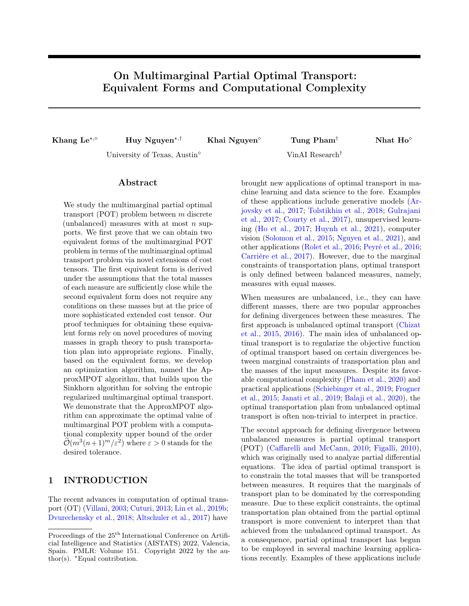## **Step 3:** We prove that  $W_2 = s$ .

Recall that  $W_7 = \sum_{v \in [n]^m} \bar{X}_v^*$ . Note that at the moment, for all  $S \subset [m]$ , the quantity  $W_S$  is zero except for  $W_{[i]}$  where  $i \in [m-2]$  and  $W_{[-i]}$  where  $i \in [m]$ . Thus, considering only these non-zero terms, we can deploy the system of equations from the marginals as follows:

- (1) For the extended marginal  $\bar{r}_1^{(2)}$ ,
	- (1.1) for the first n elements, which corresponds to coordinates u satisfying  $u_1 \neq n + 1$ , the equation is

$$
W_? + W_{[-1]} = ||\mathbf{r}_1||_1;
$$

(1.2) for the last element, which corresponds to coordinates u satisfying  $u_1 = n + 1$ , the equation is

$$
\sum_{i=1}^{m-2} W_{[i]} + \sum_{i=2}^{m} W_{[-i]} = \sum_{i=2}^{m} ||\mathbf{r}_i||_1 - (m-1)s.
$$

(2) For the extended marginals  $\bar{\mathbf{r}}_i^{(2)}$  (where  $i \in \{2, ..., m\}$ ), which corresponds to coordinates  $u = (u_1, ..., u_m)$ satisfying  $u_i \neq n + 1$ , the equations are

$$
W_7 + \sum_{j=1}^{i-1} W_{[j]} + W_{[-i]} = ||\mathbf{r}_i||_1, \ 2 \le i \le m - 2,
$$
  

$$
W_7 + \sum_{j=1}^{m-2} W_{[i]} + W_{[-i]} = ||\mathbf{r}_{m-1}||_1, \ i \in \{m-1, m\}.
$$

Taking the sum of the last  $m-1$  equations for  $i=2,\ldots,m$ , we obtain

$$
(m-1)W_? + \sum_{i=1}^{m-2} (m-i)W_{[i]} + \sum_{i=2}^{m} W_{[-i]} = \sum_{i=2}^{m} ||\mathbf{r}_i||_1
$$

Compare it with the second equation,

$$
\sum_{i=1}^{m-2} W_{[i]} + \sum_{i=2}^{m} W_{[-i]} + (m-1)s = \sum_{i=2}^{m} ||\mathbf{r}_i||_1,
$$

we obtain that

$$
(m-1)W_7 + \sum_{i=1}^{m-2} (m-i-1)W_{[i]} = (m-1)s.
$$

There are two scenarios:

- $W_7 < s$ . Since  $\|\mathbf{r}_1\|_1 \geq s$ , we have  $\|\mathbf{r}_1\|_1 > W_7$ . Recall that  $W_7 + W_{[-1]} = \|\mathbf{r}_1\|_1$ , hence  $W_{[-1]} > 0$ . Furthermore,  $W_7 < s$  implies that there exists  $i \in [m-2]$  that  $W_{[i]} > 0$ .
- $W_7 = s$ . Since  $W_{[i]} \ge 0$  for all  $i \in [m-2]$ , we have  $W_7 = s$  and  $W_{[i]} = 0$  for all  $i \in [m-2]$ .

The second scenario is exactly what we want to prove. Thus, we will show that the first scenario is impossible. For  $S = [i]$  and  $S' = [-1]$ , we consider some  $u \in T_S$  as  $\mathbf{1}_k$  and some  $v \in T_{S'}$  as  $\mathbf{0}_k$  in the cube  $\{0,1\}^k$  (where  $k = m - i + 1$ , which have the forms

$$
u = (n+1, \underbrace{n+1, \dots, n+1}_{i-1 \text{ times}}, \underbrace{u_{i+1}, \dots, u_m}_{\neq n+1})
$$

$$
v = (\underbrace{v_1}_{\neq n+1}, \underbrace{n+1, \dots, n+1}_{i-1 \text{ times}}, n+1, \dots, n+1)
$$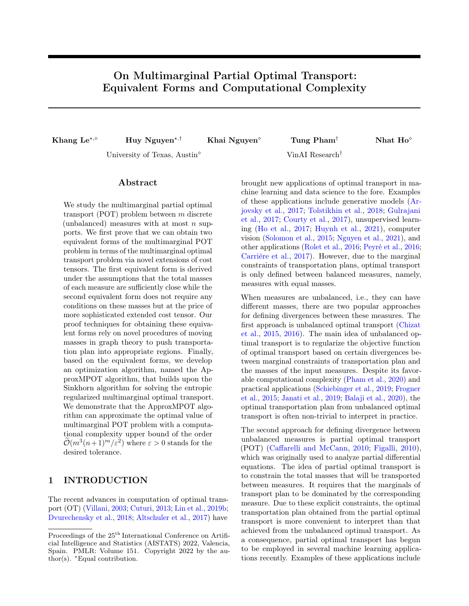Since  $W_S, W_{S'} > 0$ , there exists  $u \in T_S$  and  $v \in T_{S'}$  such that  $\bar{X}_u^*, \bar{X}_v^* > 0$ . Applying the procedure in Lemma [1\(](#page-4-0)c) and noting that  $D_{m-1} = 0$ , the total cost is changed at least by

$$
-\epsilon \cdot D_i + \frac{\epsilon}{k-1}[D_{i-1} + (k-1)D_{i+1}] = \frac{\epsilon}{k-1}[D_{i-1} + (k-1)D_{i+1} - (k-1)D_i].
$$

Let  $\Delta_j^{(1)} := D_{j+1} - D_j$  for  $0 \le j \le m-2$  that leads to  $\Delta_j^{(2)} := \Delta_j^{(1)} - \Delta_{j-1}^{(1)}$  for  $1 \le j \le m-2$ . Note that  $k = m - i + 1$  where  $i \in [m - 2]$  and  $D_{m-1} = 0$ , the term inside the above bracket can be written as

$$
(m - i)\Delta_i^{(1)} + (D_{i-1} - D_{m-1})
$$
  
=  $(m - i)\Delta_i^{(1)} - [\Delta_{i-1}^{(1)} + \Delta_i^{(i)} + ... + \Delta_{m-2}^{(1)}]$   
=  $\Delta_i^{(2)} - \sum_{j=i+1}^{m-2} [\Delta_{i+1}^{(2)} + ... + \Delta_j^{(2)}]$   
=  $\Delta_i^{(2)} - \sum_{j=i+1}^{m-2} (m - 1 - j)\Delta_j^{(2)}$   
=  $[\Delta_i^{(2)} - (m - 1 - i)\Delta_{i+1}^{(2)} + \Delta_{i+1}^{(2)}] - \sum_{j=i+2}^{m-2} (m - 1 - j)\Delta_j^{(2)}$   
 $\leq \Delta_{i+1}^{(2)} - \sum_{j=i+2}^{m-2} (m - 1 - j)\Delta_j^{(2)}$   
 $\leq ... \leq \Delta_{m-2}^{(2)} \leq 0,$ 

where the inequalities in the last two lines come from the condition that  $\Delta_j^{(2)} \leq (m-1-j)\Delta_{j+1}^{(2)}$ . Thus, we have proved that

$$
\min_{\bar{{\mathbf{X}}} \in \Pi(\bar{{\mathbf{r}}}_1,...,\bar{{\mathbf{r}}}_m)} \langle \bar{{\mathbf{C}}}^{(2)}, \bar{{\mathbf{X}}}\rangle = \langle {\mathbf{C}}, \bar{{\mathbf{X}}}^*_{[n]^m}\rangle \geq \min_{{\mathbf{X}} \in \Pi^s({\mathbf{r}}_1,...,{\mathbf{r}}_m)} \langle {\mathbf{C}}, {\mathbf{X}} \rangle.
$$

Step 4: We prove the claimed statement. The next step is to prove the inverse inequality in order to deduce the equality.

For a  $\mathbf{X}^*$  such that  $c_k(\mathbf{X}^*) \leq \mathbf{r}_k$  and  $\sum_{v \in [n]^m} X_v^* = s$ . Then transport tensor map  $\widetilde{\mathbf{X}}^*$  could be obtained from expanding the tensor matrix  $\mathbf{X}^*$  as follows: For  $u = (n+1, \ldots, n+1, i_k, n+t, \ldots, n+1) \in T_{[-k]}$  and  $1 \leq i_k \leq n$ 

$$
\widetilde{X}_u^* = (\mathbf{r}_k)_{i_k} - \sum_{v \in [n]^m, v_k = i_k} X_v^*.
$$

For other  $u \notin [n]^m \bigcup_{k=1}^m T_{[-k]}$ , we set  $\widetilde{X}_u^* = 0$ . Hence, the  $\widetilde{X}^*$  satisfies the marginal constraints. It means that

$$
\langle C, X^* \rangle = \langle \bar{C}^{(2)}, \widetilde{X}^* \rangle \geq \min_{X \in \Pi(\bar{\mathbf{r}_1}, \ldots, \bar{\mathbf{r}}_m)} \langle \bar{C}^{(2)}, X \rangle.
$$

Putting these steps together, we obtain the conclusion of the theorem.

# <span id="page-15-1"></span>C PROOF OF REMAINING RESULTS

## <span id="page-15-0"></span>C.1 Proof of Lemma [1](#page-4-0)

First, let F be the face that we take the sum. Note that F consists of vertices in the form  $(i_1, \ldots, i_k)$  where one of the  $i_{\ell}$  is constant.

(a) Let  $F$  be a face of the cube, WLOG we have

$$
F = \{(0, i_2, \ldots, i_m)\}
$$